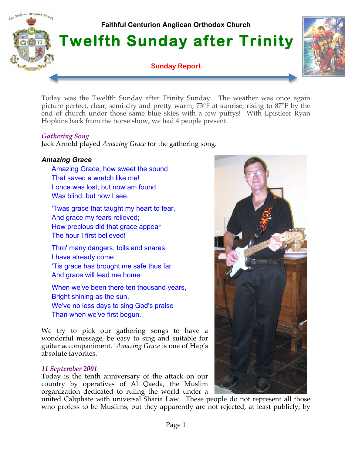**Faithful Centurion Anglican Orthodox Church**

**Twelfth Sunday after Trinity** 

**Sunday Report**



Today was the Twelfth Sunday after Trinity Sunday. The weather was once again picture perfect, clear, semi-dry and pretty warm; 73°F at sunrise, rising to 87°F by the end of church under those same blue skies with a few puffys! With Epistleer Ryan Hopkins back from the horse show, we had 4 people present.

### *Gathering Song*

Inglican Orthodox Church

Jack Arnold played *Amazing Grace* for the gathering song.

# *Amazing Grace*

Amazing Grace, how sweet the sound That saved a wretch like me! I once was lost, but now am found Was blind, but now I see.

'Twas grace that taught my heart to fear, And grace my fears relieved; How precious did that grace appear The hour I first believed!

Thro' many dangers, toils and snares, I have already come 'Tis grace has brought me safe thus far And grace will lead me home.

When we've been there ten thousand years, Bright shining as the sun, We've no less days to sing God's praise Than when we've first begun.

We try to pick our gathering songs to have a wonderful message, be easy to sing and suitable for guitar accompaniment. *Amazing Grace* is one of Hap's absolute favorites.

### *11 September 2001*

Today is the tenth anniversary of the attack on our country by operatives of Al Qaeda, the Muslim organization dedicated to ruling the world under a

united Caliphate with universal Sharia Law. These people do not represent all those who profess to be Muslims, but they apparently are not rejected, at least publicly, by

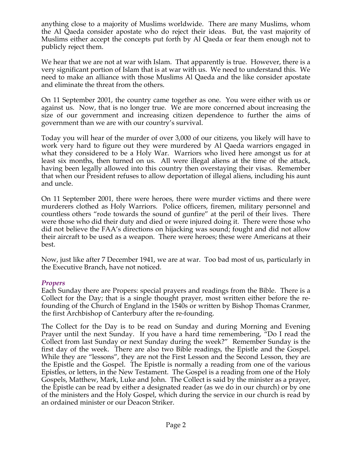anything close to a majority of Muslims worldwide. There are many Muslims, whom the Al Qaeda consider apostate who do reject their ideas. But, the vast majority of Muslims either accept the concepts put forth by Al Qaeda or fear them enough not to publicly reject them.

We hear that we are not at war with Islam. That apparently is true. However, there is a very significant portion of Islam that is at war with us. We need to understand this. We need to make an alliance with those Muslims Al Qaeda and the like consider apostate and eliminate the threat from the others.

On 11 September 2001, the country came together as one. You were either with us or against us. Now, that is no longer true. We are more concerned about increasing the size of our government and increasing citizen dependence to further the aims of government than we are with our country's survival.

Today you will hear of the murder of over 3,000 of our citizens, you likely will have to work very hard to figure out they were murdered by Al Qaeda warriors engaged in what they considered to be a Holy War. Warriors who lived here amongst us for at least six months, then turned on us. All were illegal aliens at the time of the attack, having been legally allowed into this country then overstaying their visas. Remember that when our President refuses to allow deportation of illegal aliens, including his aunt and uncle.

On 11 September 2001, there were heroes, there were murder victims and there were murderers clothed as Holy Warriors. Police officers, firemen, military personnel and countless others "rode towards the sound of gunfire" at the peril of their lives. There were those who did their duty and died or were injured doing it. There were those who did not believe the FAA's directions on hijacking was sound; fought and did not allow their aircraft to be used as a weapon. There were heroes; these were Americans at their best.

Now, just like after 7 December 1941, we are at war. Too bad most of us, particularly in the Executive Branch, have not noticed.

### *Propers*

Each Sunday there are Propers: special prayers and readings from the Bible. There is a Collect for the Day; that is a single thought prayer, most written either before the refounding of the Church of England in the 1540s or written by Bishop Thomas Cranmer, the first Archbishop of Canterbury after the re-founding.

The Collect for the Day is to be read on Sunday and during Morning and Evening Prayer until the next Sunday. If you have a hard time remembering, "Do I read the Collect from last Sunday or next Sunday during the week?" Remember Sunday is the first day of the week. There are also two Bible readings, the Epistle and the Gospel. While they are "lessons", they are not the First Lesson and the Second Lesson, they are the Epistle and the Gospel. The Epistle is normally a reading from one of the various Epistles, or letters, in the New Testament. The Gospel is a reading from one of the Holy Gospels, Matthew, Mark, Luke and John. The Collect is said by the minister as a prayer, the Epistle can be read by either a designated reader (as we do in our church) or by one of the ministers and the Holy Gospel, which during the service in our church is read by an ordained minister or our Deacon Striker.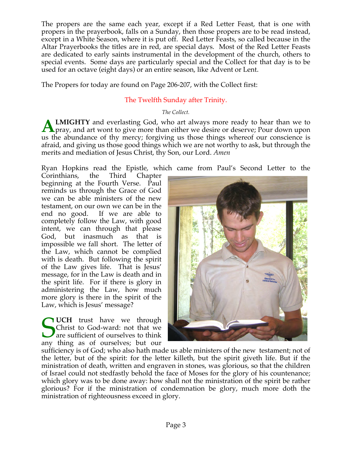The propers are the same each year, except if a Red Letter Feast, that is one with propers in the prayerbook, falls on a Sunday, then those propers are to be read instead, except in a White Season, where it is put off. Red Letter Feasts, so called because in the Altar Prayerbooks the titles are in red, are special days. Most of the Red Letter Feasts are dedicated to early saints instrumental in the development of the church, others to special events. Some days are particularly special and the Collect for that day is to be used for an octave (eight days) or an entire season, like Advent or Lent.

The Propers for today are found on Page 206-207, with the Collect first:

# The Twelfth Sunday after Trinity.

#### *The Collect.*

**LMIGHTY** and everlasting God, who art always more ready to hear than we to **ALMIGHTY** and everlasting God, who art always more ready to hear than we to pray, and art wont to give more than either we desire or deserve; Pour down upon us the abundance of thy mercy; forgiving us those things whereof our conscience is afraid, and giving us those good things which we are not worthy to ask, but through the merits and mediation of Jesus Christ, thy Son, our Lord. *Amen*

Ryan Hopkins read the Epistle, which came from Paul's Second Letter to the

Corinthians, the Third Chapter beginning at the Fourth Verse. Paul reminds us through the Grace of God we can be able ministers of the new testament, on our own we can be in the end no good. If we are able to completely follow the Law, with good intent, we can through that please God, but inasmuch as that is impossible we fall short. The letter of the Law, which cannot be complied with is death. But following the spirit of the Law gives life. That is Jesus' message, for in the Law is death and in the spirit life. For if there is glory in administering the Law, how much more glory is there in the spirit of the Law, which is Jesus' message?

**TUCH** trust have we through Christ to God-ward: not that we are sufficient of ourselves to think **SOLUCH** trust have we through Christ to God-ward: not that we are sufficient of ourselves to think any thing as of ourselves; but our



sufficiency is of God; who also hath made us able ministers of the new testament; not of the letter, but of the spirit: for the letter killeth, but the spirit giveth life. But if the ministration of death, written and engraven in stones, was glorious, so that the children of Israel could not stedfastly behold the face of Moses for the glory of his countenance; which glory was to be done away: how shall not the ministration of the spirit be rather glorious? For if the ministration of condemnation be glory, much more doth the ministration of righteousness exceed in glory.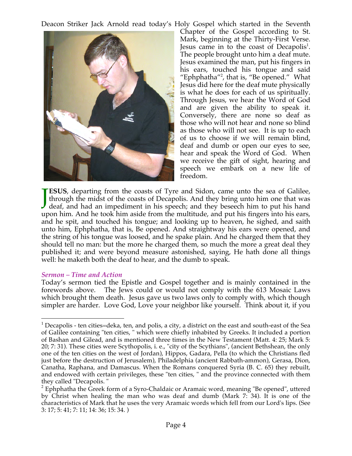Deacon Striker Jack Arnold read today's Holy Gospel which started in the Seventh



Chapter of the Gospel according to St. Mark, beginning at the Thirty-First Verse. Jesus came in to the coast of Decapolis<sup>1</sup>. The people brought unto him a deaf mute. Jesus examined the man, put his fingers in his ears, touched his tongue and said "Ephphatha"<sup>2</sup>, that is, "Be opened." What Jesus did here for the deaf mute physically is what he does for each of us spiritually. Through Jesus, we hear the Word of God and are given the ability to speak it. Conversely, there are none so deaf as those who will not hear and none so blind as those who will not see. It is up to each of us to choose if we will remain blind, deaf and dumb or open our eyes to see, hear and speak the Word of God. When we receive the gift of sight, hearing and speech we embark on a new life of freedom.

**ESUS**, departing from the coasts of Tyre and Sidon, came unto the sea of Galilee, through the midst of the coasts of Decapolis. And they bring unto him one that was deaf, and had an impediment in his speech; and they beseech him to put his hand upon him. And he took him aside from the multitude, and put his fingers into his ears, and he spit, and touched his tongue; and looking up to heaven, he sighed, and saith unto him, Ephphatha, that is, Be opened. And straightway his ears were opened, and the string of his tongue was loosed, and he spake plain. And he charged them that they should tell no man: but the more he charged them, so much the more a great deal they published it; and were beyond measure astonished, saying, He hath done all things well: he maketh both the deaf to hear, and the dumb to speak. J

#### *Sermon – Time and Action*

Today's sermon tied the Epistle and Gospel together and is mainly contained in the forewords above. The Jews could or would not comply with the 613 Mosaic Laws which brought them death. Jesus gave us two laws only to comply with, which though simpler are harder. Love God, Love your neighbor like yourself. Think about it, if you

 $\frac{1}{1}$  $^1$  Decapolis - ten cities=deka, ten, and polis, a city, a district on the east and south-east of the Sea of Galilee containing "ten cities, " which were chiefly inhabited by Greeks. It included a portion of Bashan and Gilead, and is mentioned three times in the New Testament (Matt. 4: 25; Mark 5: 20; 7: 31). These cities were Scythopolis, i. e., "city of the Scythians", (ancient Bethshean, the only one of the ten cities on the west of Jordan), Hippos, Gadara, Pella (to which the Christians fled just before the destruction of Jerusalem), Philadelphia (ancient Rabbath-ammon), Gerasa, Dion, Canatha, Raphana, and Damascus. When the Romans conquered Syria (B. C. 65) they rebuilt, and endowed with certain privileges, these "ten cities, " and the province connected with them they called "Decapolis. "

 $2$  Ephphatha the Greek form of a Syro-Chaldaic or Aramaic word, meaning "Be opened", uttered by Christ when healing the man who was deaf and dumb (Mark 7: 34). It is one of the characteristics of Mark that he uses the very Aramaic words which fell from our Lord's lips. (See 3: 17; 5: 41; 7: 11; 14: 36; 15: 34. )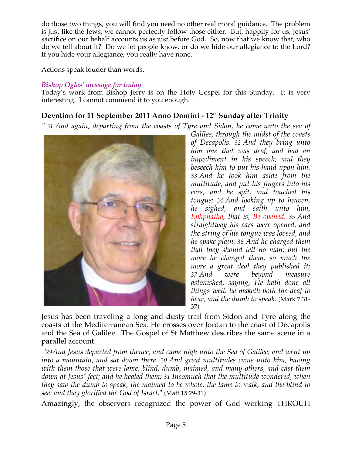do those two things, you will find you need no other real moral guidance. The problem is just like the Jews, we cannot perfectly follow those either. But, happily for us, Jesus' sacrifice on our behalf accounts us as just before God. So, now that we know that, who do we tell about it? Do we let people know, or do we hide our allegiance to the Lord? If you hide your allegiance, you really have none.

Actions speak louder than words.

# *Bishop Ogles' message for today*

Today's work from Bishop Jerry is on the Holy Gospel for this Sunday. It is very interesting. I cannot commend it to you enough.

# **Devotion for 11 September 2011 Anno Domini - 12th Sunday after Trinity**

*" 31 And again, departing from the coasts of Tyre and Sidon, he came unto the sea of* 



*Galilee, through the midst of the coasts of Decapolis. 32 And they bring unto him one that was deaf, and had an impediment in his speech; and they beseech him to put his hand upon him. 33 And he took him aside from the multitude, and put his fingers into his ears, and he spit, and touched his tongue; 34 And looking up to heaven, he sighed, and saith unto him, Ephphatha, that is, Be opened. 35 And straightway his ears were opened, and the string of his tongue was loosed, and he spake plain. 36 And he charged them that they should tell no man: but the more he charged them, so much the more a great deal they published it; 37 And were beyond measure astonished, saying, He hath done all things well: he maketh both the deaf to hear, and the dumb to speak*. (Mark 7:31- 37)

Jesus has been traveling a long and dusty trail from Sidon and Tyre along the coasts of the Mediterranean Sea. He crosses over Jordan to the coast of Decapolis and the Sea of Galilee. The Gospel of St Matthew describes the same scene in a parallel account.

"*29And Jesus departed from thence, and came nigh unto the Sea of Galilee; and went up into a mountain, and sat down there. 30 And great multitudes came unto him, having with them those that were lame, blind, dumb, maimed, and many others, and cast them down at Jesus' feet; and he healed them: 31 Insomuch that the multitude wondered, when they saw the dumb to speak, the maimed to be whole, the lame to walk, and the blind to see: and they glorified the God of Israel*." (Matt 15:29-31)

Amazingly, the observers recognized the power of God working THROUH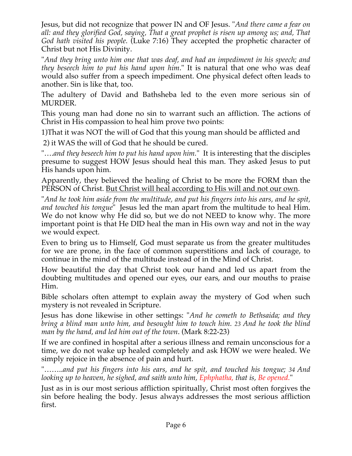Jesus, but did not recognize that power IN and OF Jesus. "*And there came a fear on all: and they glorified God, saying, That a great prophet is risen up among us; and, That God hath visited his people.* (Luke 7:16) They accepted the prophetic character of Christ but not His Divinity.

"*And they bring unto him one that was deaf, and had an impediment in his speech; and they beseech him to put his hand upon him*." It is natural that one who was deaf would also suffer from a speech impediment. One physical defect often leads to another. Sin is like that, too.

The adultery of David and Bathsheba led to the even more serious sin of MURDER.

This young man had done no sin to warrant such an affliction. The actions of Christ in His compassion to heal him prove two points:

1)That it was NOT the will of God that this young man should be afflicted and

2) it WAS the will of God that he should be cured.

"….*and they beseech him to put his hand upon him.*" It is interesting that the disciples presume to suggest HOW Jesus should heal this man. They asked Jesus to put His hands upon him.

Apparently, they believed the healing of Christ to be more the FORM than the PERSON of Christ. <u>But Christ will heal according to His will and not our own</u>.

"*And he took him aside from the multitude, and put his fingers into his ears, and he spit, and touched his tongue*" Jesus led the man apart from the multitude to heal Him. We do not know why He did so, but we do not NEED to know why. The more important point is that He DID heal the man in His own way and not in the way we would expect.

Even to bring us to Himself, God must separate us from the greater multitudes for we are prone, in the face of common superstitions and lack of courage, to continue in the mind of the multitude instead of in the Mind of Christ.

How beautiful the day that Christ took our hand and led us apart from the doubting multitudes and opened our eyes, our ears, and our mouths to praise Him.

Bible scholars often attempt to explain away the mystery of God when such mystery is not revealed in Scripture.

Jesus has done likewise in other settings: "*And he cometh to Bethsaida; and they bring a blind man unto him, and besought him to touch him. 23 And he took the blind man by the hand, and led him out of the town*. (Mark 8:22-23)

If we are confined in hospital after a serious illness and remain unconscious for a time, we do not wake up healed completely and ask HOW we were healed. We simply rejoice in the absence of pain and hurt.

"……..*and put his fingers into his ears, and he spit, and touched his tongue; 34 And looking up to heaven, he sighed, and saith unto him, Ephphatha, that is, Be opened.*"

Just as in is our most serious affliction spiritually, Christ most often forgives the sin before healing the body. Jesus always addresses the most serious affliction first.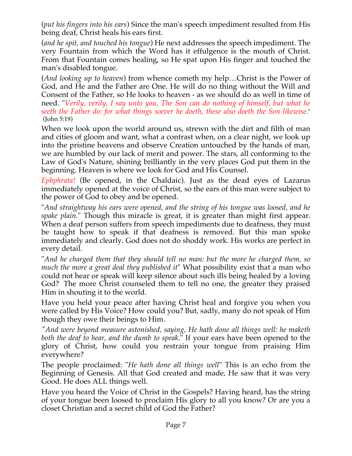(*put his fingers into his ears*) Since the man's speech impediment resulted from His being deaf, Christ heals his ears first.

(*and he spit, and touched his tongue*) He next addresses the speech impediment. The very Fountain from which the Word has it effulgence is the mouth of Christ. From that Fountain comes healing, so He spat upon His finger and touched the man's disabled tongue.

(*And looking up to heaven*) from whence cometh my help…Christ is the Power of God, and He and the Father are One. He will do no thing without the Will and Consent of the Father, so He looks to heaven - as we should do as well in time of need. "*Verily, verily, I say unto you, The Son can do nothing of himself, but what he seeth the Father do: for what things soever he doeth, these also doeth the Son likewise*." (John 5:19)

When we look upon the world around us, strewn with the dirt and filth of man and cities of gloom and want, what a contrast when, on a clear night, we look up into the pristine heavens and observe Creation untouched by the hands of man, we are humbled by our lack of merit and power. The stars, all conforming to the Law of God's Nature, shining brilliantly in the very places God put them in the beginning. Heaven is where we look for God and His Counsel.

*Ephphrata!* (Be opened, in the Chaldaic). Just as the dead eyes of Lazarus immediately opened at the voice of Christ, so the ears of this man were subject to the power of God to obey and be opened.

"*And straightway his ears were opened, and the string of his tongue was loosed, and he spake plain.*" Though this miracle is great, it is greater than might first appear. When a deaf person suffers from speech impediments due to deafness, they must be taught how to speak if that deafness is removed. But this man spoke immediately and clearly. God does not do shoddy work. His works are perfect in every detail.

"*And he charged them that they should tell no man: but the more he charged them, so much the more a great deal they published it*" What possibility exist that a man who could not hear or speak will keep silence about such ills being healed by a loving God? The more Christ counseled them to tell no one, the greater they praised Him in shouting it to the world.

Have you held your peace after having Christ heal and forgive you when you were called by His Voice? How could you? But, sadly, many do not speak of Him though they owe their beings to Him.

*"And were beyond measure astonished, saying, He hath done all things well: he maketh both the deaf to hear, and the dumb to speak*." If your ears have been opened to the glory of Christ, how could you restrain your tongue from praising Him everywhere?

The people proclaimed: "*He hath done all things well*" This is an echo from the Beginning of Genesis. All that God created and made, He saw that it was very Good. He does ALL things well.

Have you heard the Voice of Christ in the Gospels? Having heard, has the string of your tongue been loosed to proclaim His glory to all you know? Or are you a closet Christian and a secret child of God the Father?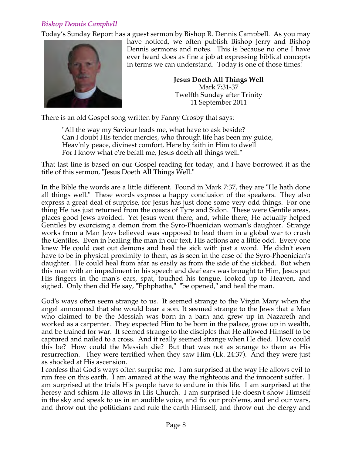# *Bishop Dennis Campbell*

Today's Sunday Report has a guest sermon by Bishop R. Dennis Campbell. As you may



have noticed, we often publish Bishop Jerry and Bishop Dennis sermons and notes. This is because no one I have ever heard does as fine a job at expressing biblical concepts in terms we can understand. Today is one of those times!

> **Jesus Doeth All Things Well** Mark 7:31-37 Twelfth Sunday after Trinity 11 September 2011

There is an old Gospel song written by Fanny Crosby that says:

"All the way my Saviour leads me, what have to ask beside? Can I doubt His tender mercies, who through life has been my guide, Heav'nly peace, divinest comfort, Here by faith in Him to dwell For I know what e're befall me, Jesus doeth all things well."

That last line is based on our Gospel reading for today, and I have borrowed it as the title of this sermon, "Jesus Doeth All Things Well."

In the Bible the words are a little different. Found in Mark 7:37, they are "He hath done all things well." These words express a happy conclusion of the speakers. They also express a great deal of surprise, for Jesus has just done some very odd things. For one thing He has just returned from the coasts of Tyre and Sidon. These were Gentile areas, places good Jews avoided. Yet Jesus went there, and, while there, He actually helped Gentiles by exorcising a demon from the Syro-Phoenician woman's daughter. Strange works from a Man Jews believed was supposed to lead them in a global war to crush the Gentiles. Even in healing the man in our text, His actions are a little odd. Every one knew He could cast out demons and heal the sick with just a word. He didn't even have to be in physical proximity to them, as is seen in the case of the Syro-Phoenician's daughter. He could heal from afar as easily as from the side of the sickbed. But when this man with an impediment in his speech and deaf ears was brought to Him, Jesus put His fingers in the man's ears, spat, touched his tongue, looked up to Heaven, and sighed. Only then did He say, "Ephphatha," "be opened," and heal the man.

God's ways often seem strange to us. It seemed strange to the Virgin Mary when the angel announced that she would bear a son. It seemed strange to the Jews that a Man who claimed to be the Messiah was born in a barn and grew up in Nazareth and worked as a carpenter. They expected Him to be born in the palace, grow up in wealth, and be trained for war. It seemed strange to the disciples that He allowed Himself to be captured and nailed to a cross. And it really seemed strange when He died. How could this be? How could the Messiah die? But that was not as strange to them as His resurrection. They were terrified when they saw Him (Lk. 24:37). And they were just as shocked at His ascension.

I confess that God's ways often surprise me. I am surprised at the way He allows evil to run free on this earth. I am amazed at the way the righteous and the innocent suffer. I am surprised at the trials His people have to endure in this life. I am surprised at the heresy and schism He allows in His Church. I am surprised He doesn't show Himself in the sky and speak to us in an audible voice, and fix our problems, and end our wars, and throw out the politicians and rule the earth Himself, and throw out the clergy and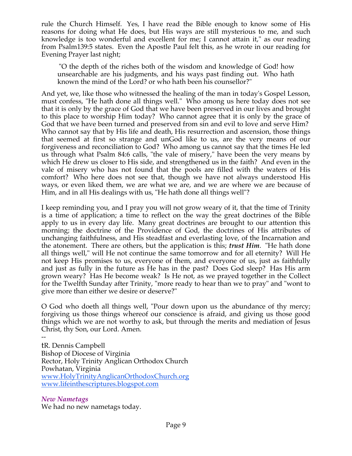rule the Church Himself. Yes, I have read the Bible enough to know some of His reasons for doing what He does, but His ways are still mysterious to me, and such knowledge is too wonderful and excellent for me; I cannot attain it," as our reading from Psalm139:5 states. Even the Apostle Paul felt this, as he wrote in our reading for Evening Prayer last night;

"O the depth of the riches both of the wisdom and knowledge of God! how unsearchable are his judgments, and his ways past finding out. Who hath known the mind of the Lord? or who hath been his counsellor?"

And yet, we, like those who witnessed the healing of the man in today's Gospel Lesson, must confess, "He hath done all things well." Who among us here today does not see that it is only by the grace of God that we have been preserved in our lives and brought to this place to worship Him today? Who cannot agree that it is only by the grace of God that we have been turned and preserved from sin and evil to love and serve Him? Who cannot say that by His life and death, His resurrection and ascension, those things that seemed at first so strange and unGod like to us, are the very means of our forgiveness and reconciliation to God? Who among us cannot say that the times He led us through what Psalm 84:6 calls, "the vale of misery," have been the very means by which He drew us closer to His side, and strengthened us in the faith? And even in the vale of misery who has not found that the pools are filled with the waters of His comfort? Who here does not see that, though we have not always understood His ways, or even liked them, we are what we are, and we are where we are because of Him, and in all His dealings with us, "He hath done all things well"?

I keep reminding you, and I pray you will not grow weary of it, that the time of Trinity is a time of application; a time to reflect on the way the great doctrines of the Bible apply to us in every day life. Many great doctrines are brought to our attention this morning; the doctrine of the Providence of God, the doctrines of His attributes of unchanging faithfulness, and His steadfast and everlasting love, of the Incarnation and the atonement. There are others, but the application is this; *trust Him*. "He hath done all things well," will He not continue the same tomorrow and for all eternity? Will He not keep His promises to us, everyone of them, and everyone of us, just as faithfully and just as fully in the future as He has in the past? Does God sleep? Has His arm grown weary? Has He become weak? Is He not, as we prayed together in the Collect for the Twelfth Sunday after Trinity, "more ready to hear than we to pray" and "wont to give more than either we desire or deserve?"

O God who doeth all things well, "Pour down upon us the abundance of thy mercy; forgiving us those things whereof our conscience is afraid, and giving us those good things which we are not worthy to ask, but through the merits and mediation of Jesus Christ, thy Son, our Lord. Amen.

- tR. Dennis Campbell Bishop of Diocese of Virginia Rector, Holy Trinity Anglican Orthodox Church Powhatan, Virginia www.HolyTrinityAnglicanOrthodoxChurch.org www.lifeinthescriptures.blogspot.com

*New Nametags* We had no new nametags today.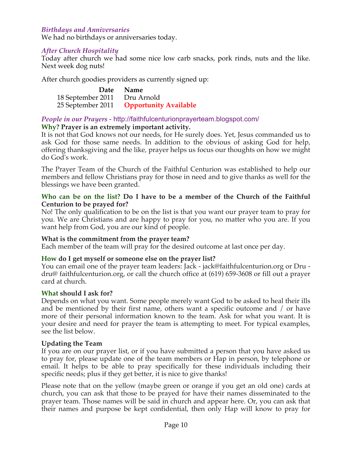### *Birthdays and Anniversaries*

We had no birthdays or anniversaries today.

### *After Church Hospitality*

Today after church we had some nice low carb snacks, pork rinds, nuts and the like. Next week dog nuts!

After church goodies providers as currently signed up:

|                              | Date Name                               |
|------------------------------|-----------------------------------------|
| 18 September 2011 Dru Arnold |                                         |
|                              | 25 September 2011 Opportunity Available |

# *People in our Prayers* - http://faithfulcenturionprayerteam.blogspot.com/

#### **Why? Prayer is an extremely important activity.**

It is not that God knows not our needs, for He surely does. Yet, Jesus commanded us to ask God for those same needs. In addition to the obvious of asking God for help, offering thanksgiving and the like, prayer helps us focus our thoughts on how we might do God's work.

The Prayer Team of the Church of the Faithful Centurion was established to help our members and fellow Christians pray for those in need and to give thanks as well for the blessings we have been granted.

#### **Who can be on the list? Do I have to be a member of the Church of the Faithful Centurion to be prayed for?**

No! The only qualification to be on the list is that you want our prayer team to pray for you. We are Christians and are happy to pray for you, no matter who you are. If you want help from God, you are our kind of people.

### **What is the commitment from the prayer team?**

Each member of the team will pray for the desired outcome at last once per day.

### **How do I get myself or someone else on the prayer list?**

You can email one of the prayer team leaders: Jack - jack@faithfulcenturion.org or Dru dru@ faithfulcenturion.org, or call the church office at (619) 659-3608 or fill out a prayer card at church.

#### **What should I ask for?**

Depends on what you want. Some people merely want God to be asked to heal their ills and be mentioned by their first name, others want a specific outcome and / or have more of their personal information known to the team. Ask for what you want. It is your desire and need for prayer the team is attempting to meet. For typical examples, see the list below.

### **Updating the Team**

If you are on our prayer list, or if you have submitted a person that you have asked us to pray for, please update one of the team members or Hap in person, by telephone or email. It helps to be able to pray specifically for these individuals including their specific needs; plus if they get better, it is nice to give thanks!

Please note that on the yellow (maybe green or orange if you get an old one) cards at church, you can ask that those to be prayed for have their names disseminated to the prayer team. Those names will be said in church and appear here. Or, you can ask that their names and purpose be kept confidential, then only Hap will know to pray for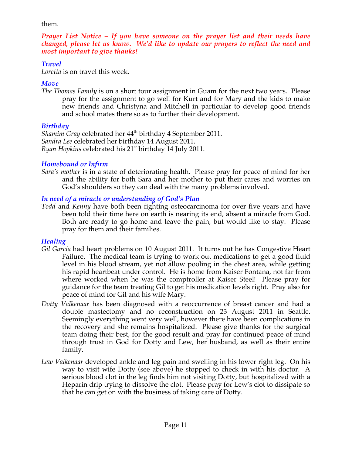them.

*Prayer List Notice – If you have someone on the prayer list and their needs have changed, please let us know. We'd like to update our prayers to reflect the need and most important to give thanks!*

# *Travel*

*Loretta* is on travel this week.

# *Move*

*The Thomas Family* is on a short tour assignment in Guam for the next two years. Please pray for the assignment to go well for Kurt and for Mary and the kids to make new friends and Christyna and Mitchell in particular to develop good friends and school mates there so as to further their development.

# *Birthday*

*Shamim Gray celebrated her*  $44<sup>th</sup>$  birthday 4 September 2011. *Sandra Lee* celebrated her birthday 14 August 2011. *Ryan Hopkins* celebrated his 21st birthday 14 July 2011.

# *Homebound or Infirm*

*Sara's mother* is in a state of deteriorating health. Please pray for peace of mind for her and the ability for both Sara and her mother to put their cares and worries on God's shoulders so they can deal with the many problems involved.

# *In need of a miracle or understanding of God's Plan*

*Todd* and *Kenny* have both been fighting osteocarcinoma for over five years and have been told their time here on earth is nearing its end, absent a miracle from God. Both are ready to go home and leave the pain, but would like to stay. Please pray for them and their families.

# *Healing*

- *Gil Garcia* had heart problems on 10 August 2011. It turns out he has Congestive Heart Failure. The medical team is trying to work out medications to get a good fluid level in his blood stream, yet not allow pooling in the chest area, while getting his rapid heartbeat under control. He is home from Kaiser Fontana, not far from where worked when he was the comptroller at Kaiser Steel! Please pray for guidance for the team treating Gil to get his medication levels right. Pray also for peace of mind for Gil and his wife Mary.
- *Dotty Valkenaar* has been diagnosed with a reoccurrence of breast cancer and had a double mastectomy and no reconstruction on 23 August 2011 in Seattle. Seemingly everything went very well, however there have been complications in the recovery and she remains hospitalized. Please give thanks for the surgical team doing their best, for the good result and pray for continued peace of mind through trust in God for Dotty and Lew, her husband, as well as their entire family.
- *Lew Valkenaar* developed ankle and leg pain and swelling in his lower right leg. On his way to visit wife Dotty (see above) he stopped to check in with his doctor. A serious blood clot in the leg finds him not visiting Dotty, but hospitalized with a Heparin drip trying to dissolve the clot. Please pray for Lew's clot to dissipate so that he can get on with the business of taking care of Dotty.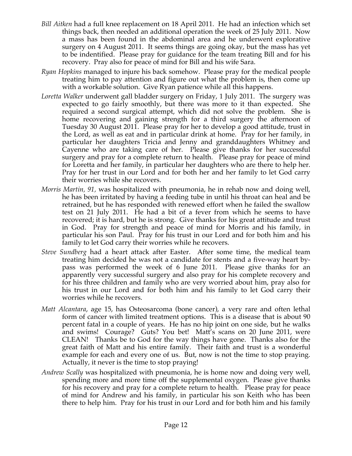- *Bill Aitken* had a full knee replacement on 18 April 2011. He had an infection which set things back, then needed an additional operation the week of 25 July 2011. Now a mass has been found in the abdominal area and he underwent explorative surgery on 4 August 2011. It seems things are going okay, but the mass has yet to be indentified. Please pray for guidance for the team treating Bill and for his recovery. Pray also for peace of mind for Bill and his wife Sara.
- *Ryan Hopkins* managed to injure his back somehow. Please pray for the medical people treating him to pay attention and figure out what the problem is, then come up with a workable solution. Give Ryan patience while all this happens.
- *Loretta Walker* underwent gall bladder surgery on Friday, 1 July 2011. The surgery was expected to go fairly smoothly, but there was more to it than expected. She required a second surgical attempt, which did not solve the problem. She is home recovering and gaining strength for a third surgery the afternoon of Tuesday 30 August 2011. Please pray for her to develop a good attitude, trust in the Lord, as well as eat and in particular drink at home. Pray for her family, in particular her daughters Tricia and Jenny and granddaughters Whitney and Cayenne who are taking care of her. Please give thanks for her successful surgery and pray for a complete return to health. Please pray for peace of mind for Loretta and her family, in particular her daughters who are there to help her. Pray for her trust in our Lord and for both her and her family to let God carry their worries while she recovers.
- *Morris Martin, 91,* was hospitalized with pneumonia, he in rehab now and doing well, he has been irritated by having a feeding tube in until his throat can heal and be retrained, but he has responded with renewed effort when he failed the swallow test on 21 July 2011. He had a bit of a fever from which he seems to have recovered; it is hard, but he is strong. Give thanks for his great attitude and trust in God. Pray for strength and peace of mind for Morris and his family, in particular his son Paul. Pray for his trust in our Lord and for both him and his family to let God carry their worries while he recovers.
- *Steve Sundberg* had a heart attack after Easter. After some time, the medical team treating him decided he was not a candidate for stents and a five-way heart bypass was performed the week of 6 June 2011. Please give thanks for an apparently very successful surgery and also pray for his complete recovery and for his three children and family who are very worried about him, pray also for his trust in our Lord and for both him and his family to let God carry their worries while he recovers.
- *Matt Alcantara*, age 15, has Osteosarcoma (bone cancer), a very rare and often lethal form of cancer with limited treatment options. This is a disease that is about 90 percent fatal in a couple of years. He has no hip joint on one side, but he walks and swims! Courage? Guts? You bet! Matt's scans on 20 June 2011, were CLEAN! Thanks be to God for the way things have gone. Thanks also for the great faith of Matt and his entire family. Their faith and trust is a wonderful example for each and every one of us. But, now is not the time to stop praying. Actually, it never is the time to stop praying!
- *Andrew Scally* was hospitalized with pneumonia, he is home now and doing very well, spending more and more time off the supplemental oxygen. Please give thanks for his recovery and pray for a complete return to health. Please pray for peace of mind for Andrew and his family, in particular his son Keith who has been there to help him. Pray for his trust in our Lord and for both him and his family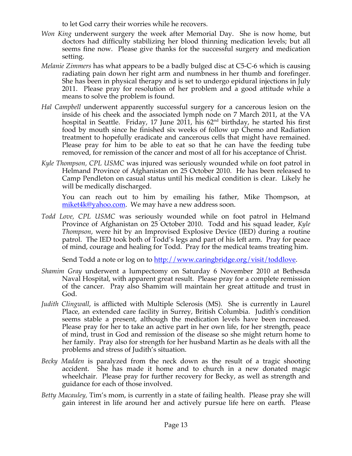to let God carry their worries while he recovers.

- *Won King* underwent surgery the week after Memorial Day. She is now home, but doctors had difficulty stabilizing her blood thinning medication levels; but all seems fine now. Please give thanks for the successful surgery and medication setting.
- *Melanie Zimmers* has what appears to be a badly bulged disc at C5-C-6 which is causing radiating pain down her right arm and numbness in her thumb and forefinger. She has been in physical therapy and is set to undergo epidural injections in July 2011. Please pray for resolution of her problem and a good attitude while a means to solve the problem is found.
- *Hal Campbell* underwent apparently successful surgery for a cancerous lesion on the inside of his cheek and the associated lymph node on 7 March 2011, at the VA hospital in Seattle. Friday, 17 June 2011, his  $62<sup>nd</sup>$  birthday, he started his first food by mouth since he finished six weeks of follow up Chemo and Radiation treatment to hopefully eradicate and cancerous cells that might have remained. Please pray for him to be able to eat so that he can have the feeding tube removed, for remission of the cancer and most of all for his acceptance of Christ.
- *Kyle Thompson, CPL USMC* was injured was seriously wounded while on foot patrol in Helmand Province of Afghanistan on 25 October 2010. He has been released to Camp Pendleton on casual status until his medical condition is clear. Likely he will be medically discharged.

You can reach out to him by emailing his father, Mike Thompson, at miket4k@yahoo.com. We may have a new address soon.

*Todd Love, CPL USMC* was seriously wounded while on foot patrol in Helmand Province of Afghanistan on 25 October 2010. Todd and his squad leader, *Kyle Thompson*, were hit by an Improvised Explosive Device (IED) during a routine patrol. The IED took both of Todd's legs and part of his left arm. Pray for peace of mind, courage and healing for Todd. Pray for the medical teams treating him.

Send Todd a note or log on to http://www.caringbridge.org/visit/toddlove.

- *Shamim Gray* underwent a lumpectomy on Saturday 6 November 2010 at Bethesda Naval Hospital, with apparent great result. Please pray for a complete remission of the cancer. Pray also Shamim will maintain her great attitude and trust in God.
- *Judith Clingwall*, is afflicted with Multiple Sclerosis (MS). She is currently in Laurel Place, an extended care facility in Surrey, British Columbia. Judith's condition seems stable a present, although the medication levels have been increased. Please pray for her to take an active part in her own life, for her strength, peace of mind, trust in God and remission of the disease so she might return home to her family. Pray also for strength for her husband Martin as he deals with all the problems and stress of Judith's situation.
- *Becky Madden* is paralyzed from the neck down as the result of a tragic shooting accident. She has made it home and to church in a new donated magic wheelchair. Please pray for further recovery for Becky, as well as strength and guidance for each of those involved.
- *Betty Macauley,* Tim's mom, is currently in a state of failing health. Please pray she will gain interest in life around her and actively pursue life here on earth. Please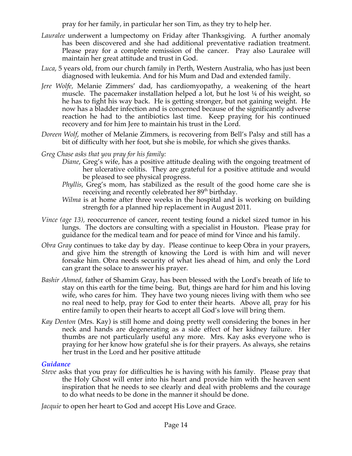pray for her family, in particular her son Tim, as they try to help her.

- *Lauralee* underwent a lumpectomy on Friday after Thanksgiving. A further anomaly has been discovered and she had additional preventative radiation treatment. Please pray for a complete remission of the cancer. Pray also Lauralee will maintain her great attitude and trust in God.
- *Luca*, 5 years old, from our church family in Perth, Western Australia, who has just been diagnosed with leukemia. And for his Mum and Dad and extended family.
- *Jere Wolfe,* Melanie Zimmers' dad, has cardiomyopathy, a weakening of the heart muscle. The pacemaker installation helped a lot, but he lost ¼ of his weight, so he has to fight his way back. He is getting stronger, but not gaining weight. He now has a bladder infection and is concerned because of the significantly adverse reaction he had to the antibiotics last time. Keep praying for his continued recovery and for him Jere to maintain his trust in the Lord.
- *Doreen Wolf*, mother of Melanie Zimmers, is recovering from Bell's Palsy and still has a bit of difficulty with her foot, but she is mobile, for which she gives thanks.
- *Greg Chase asks that you pray for his family:*
	- *Diane*, Greg's wife, has a positive attitude dealing with the ongoing treatment of her ulcerative colitis. They are grateful for a positive attitude and would be pleased to see physical progress.
	- *Phyllis*, Greg's mom, has stabilized as the result of the good home care she is receiving and recently celebrated her 89<sup>th</sup> birthday.
	- *Wilma* is at home after three weeks in the hospital and is working on building strength for a planned hip replacement in August 2011.
- *Vince (age 13), reoccurrence of cancer, recent testing found a nickel sized tumor in his* lungs. The doctors are consulting with a specialist in Houston. Please pray for guidance for the medical team and for peace of mind for Vince and his family.
- *Obra Gray* continues to take day by day. Please continue to keep Obra in your prayers, and give him the strength of knowing the Lord is with him and will never forsake him. Obra needs security of what lies ahead of him, and only the Lord can grant the solace to answer his prayer.
- *Bashir Ahmed*, father of Shamim Gray, has been blessed with the Lord's breath of life to stay on this earth for the time being. But, things are hard for him and his loving wife, who cares for him. They have two young nieces living with them who see no real need to help, pray for God to enter their hearts. Above all, pray for his entire family to open their hearts to accept all God's love will bring them.
- *Kay Denton* (Mrs. Kay) is still home and doing pretty well considering the bones in her neck and hands are degenerating as a side effect of her kidney failure. Her thumbs are not particularly useful any more. Mrs. Kay asks everyone who is praying for her know how grateful she is for their prayers. As always, she retains her trust in the Lord and her positive attitude.

### *Guidance*

*Steve* asks that you pray for difficulties he is having with his family. Please pray that the Holy Ghost will enter into his heart and provide him with the heaven sent inspiration that he needs to see clearly and deal with problems and the courage to do what needs to be done in the manner it should be done.

*Jacquie* to open her heart to God and accept His Love and Grace.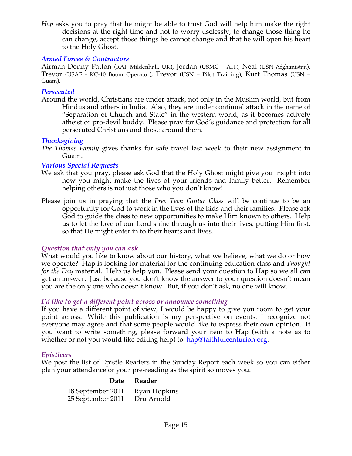*Hap* asks you to pray that he might be able to trust God will help him make the right decisions at the right time and not to worry uselessly, to change those thing he can change, accept those things he cannot change and that he will open his heart to the Holy Ghost.

### *Armed Forces & Contractors*

Airman Donny Patton (RAF Mildenhall, UK), Jordan (USMC – AIT), Neal (USN-Afghanistan), Trevor (USAF - KC-10 Boom Operator), Trevor (USN – Pilot Training), Kurt Thomas (USN – Guam),

### *Persecuted*

Around the world, Christians are under attack, not only in the Muslim world, but from Hindus and others in India. Also, they are under continual attack in the name of "Separation of Church and State" in the western world, as it becomes actively atheist or pro-devil buddy. Please pray for God's guidance and protection for all persecuted Christians and those around them.

# *Thanksgiving*

*The Thomas Family* gives thanks for safe travel last week to their new assignment in Guam.

# *Various Special Requests*

- We ask that you pray, please ask God that the Holy Ghost might give you insight into how you might make the lives of your friends and family better. Remember helping others is not just those who you don't know!
- Please join us in praying that the *Free Teen Guitar Class* will be continue to be an opportunity for God to work in the lives of the kids and their families. Please ask God to guide the class to new opportunities to make Him known to others. Help us to let the love of our Lord shine through us into their lives, putting Him first, so that He might enter in to their hearts and lives.

# *Question that only you can ask*

What would you like to know about our history, what we believe, what we do or how we operate? Hap is looking for material for the continuing education class and *Thought for the Day* material. Help us help you. Please send your question to Hap so we all can get an answer. Just because you don't know the answer to your question doesn't mean you are the only one who doesn't know. But, if you don't ask, no one will know.

# *I'd like to get a different point across or announce something*

If you have a different point of view, I would be happy to give you room to get your point across. While this publication is my perspective on events, I recognize not everyone may agree and that some people would like to express their own opinion. If you want to write something, please forward your item to Hap (with a note as to whether or not you would like editing help) to: hap@faithfulcenturion.org.

# *Epistleers*

We post the list of Epistle Readers in the Sunday Report each week so you can either plan your attendance or your pre-reading as the spirit so moves you.

### **Date Reader**

| 18 September 2011 | Ryan Hopkins |
|-------------------|--------------|
| 25 September 2011 | Dru Arnold   |